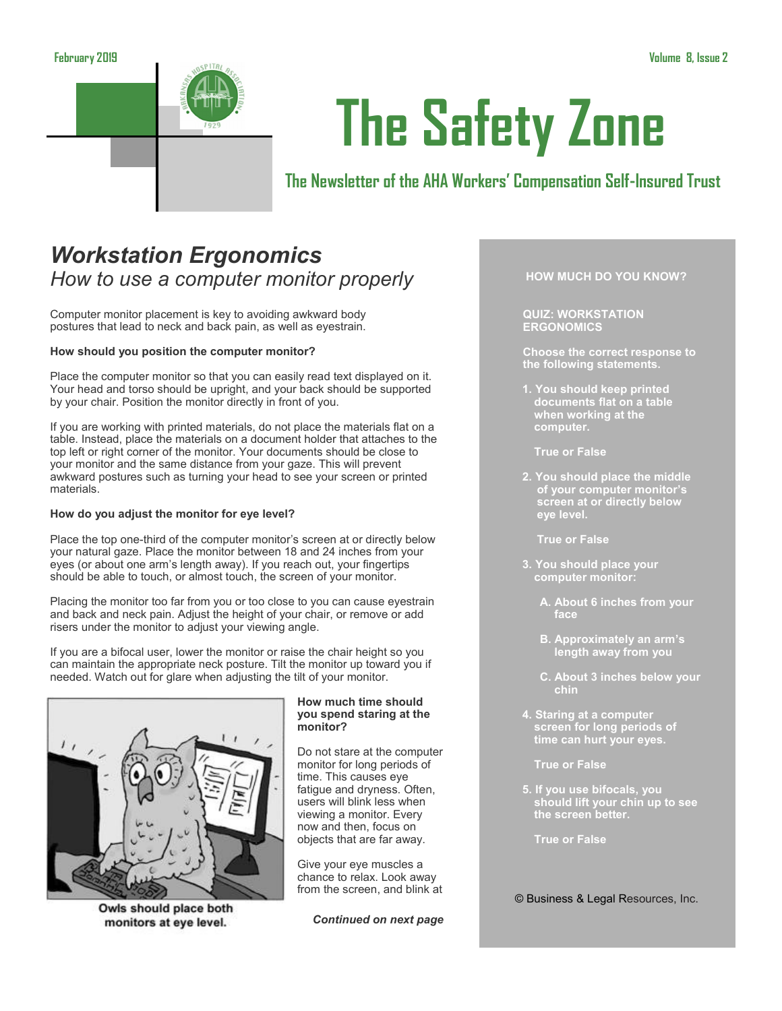

# **The Safety Zone**

## **The Newsletter of the AHA Workers' Compensation Self-Insured Trust**

## *Workstation Ergonomics How to use a computer monitor properly*

Computer monitor placement is key to avoiding awkward body postures that lead to neck and back pain, as well as eyestrain.

## **How should you position the computer monitor?**

Place the computer monitor so that you can easily read text displayed on it. Your head and torso should be upright, and your back should be supported by your chair. Position the monitor directly in front of you.

If you are working with printed materials, do not place the materials flat on a table. Instead, place the materials on a document holder that attaches to the top left or right corner of the monitor. Your documents should be close to your monitor and the same distance from your gaze. This will prevent awkward postures such as turning your head to see your screen or printed materials.

#### **How do you adjust the monitor for eye level?**

Place the top one-third of the computer monitor's screen at or directly below your natural gaze. Place the monitor between 18 and 24 inches from your eyes (or about one arm's length away). If you reach out, your fingertips should be able to touch, or almost touch, the screen of your monitor.

Placing the monitor too far from you or too close to you can cause eyestrain and back and neck pain. Adjust the height of your chair, or remove or add risers under the monitor to adjust your viewing angle.

If you are a bifocal user, lower the monitor or raise the chair height so you can maintain the appropriate neck posture. Tilt the monitor up toward you if needed. Watch out for glare when adjusting the tilt of your monitor.



Owls should place both monitors at eye level.

#### **How much time should you spend staring at the monitor?**

Do not stare at the computer monitor for long periods of time. This causes eye fatigue and dryness. Often, users will blink less when viewing a monitor. Every now and then, focus on objects that are far away.

Give your eye muscles a chance to relax. Look away from the screen, and blink at

*Continued on next page*

## **HOW MUCH DO YOU KNOW?**

**QUIZ: WORKSTATION ERGONOMICS**

**Choose the correct response to the following statements.**

- **1. You should keep printed documents flat on a table when working at the computer.**
	- **True or False**
- **2. You should place the middle of your computer monitor's screen at or directly below eye level.**

**True or False**

- **3. You should place your computer monitor:**
	- **A. About 6 inches from your face**
	- **B. Approximately an arm's length away from you**
	- **C. About 3 inches below your chin**
- **4. Staring at a computer screen for long periods of time can hurt your eyes.**

**True or False**

**5. If you use bifocals, you should lift your chin up to see the screen better.**

**True or False**

© Business & Legal Resources, Inc.